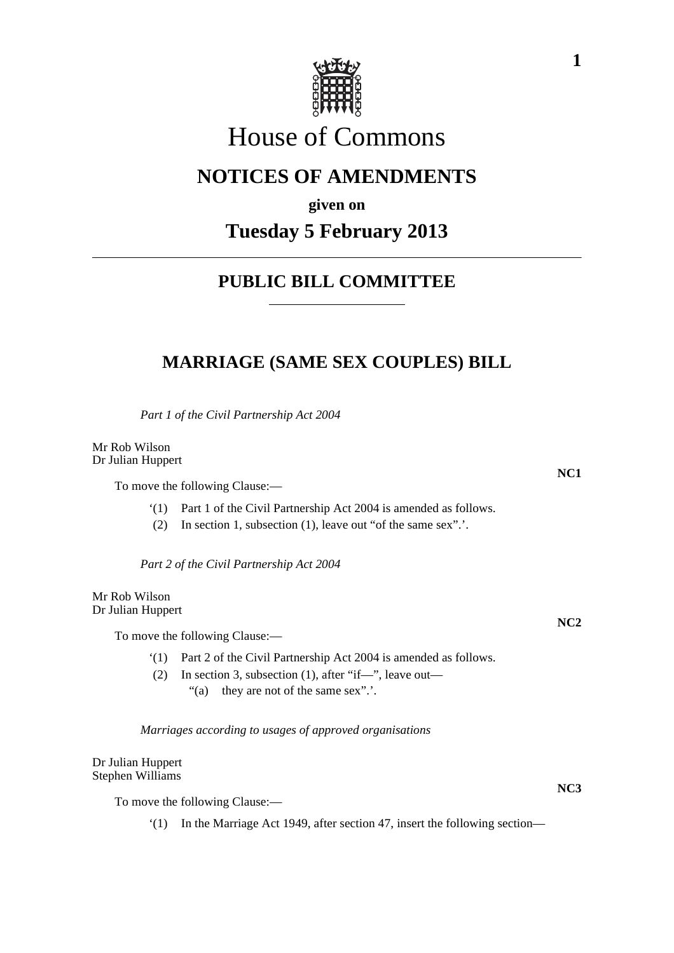

# House of Commons

# **NOTICES OF AMENDMENTS**

**given on**

## **Tuesday 5 February 2013**

### **PUBLIC BILL COMMITTEE**

### **MARRIAGE (SAME SEX COUPLES) BILL**

*Part 1 of the Civil Partnership Act 2004*

Mr Rob Wilson Dr Julian Huppert

To move the following Clause:—

'(1) Part 1 of the Civil Partnership Act 2004 is amended as follows.

(2) In section 1, subsection (1), leave out "of the same sex".'.

*Part 2 of the Civil Partnership Act 2004*

Mr Rob Wilson Dr Julian Huppert

To move the following Clause:—

'(1) Part 2 of the Civil Partnership Act 2004 is amended as follows.

(2) In section 3, subsection (1), after "if—", leave out— "(a) they are not of the same sex".'.

*Marriages according to usages of approved organisations*

Dr Julian Huppert Stephen Williams

To move the following Clause:—

'(1) In the Marriage Act 1949, after section 47, insert the following section—

**NC3**

**NC1**

**NC2**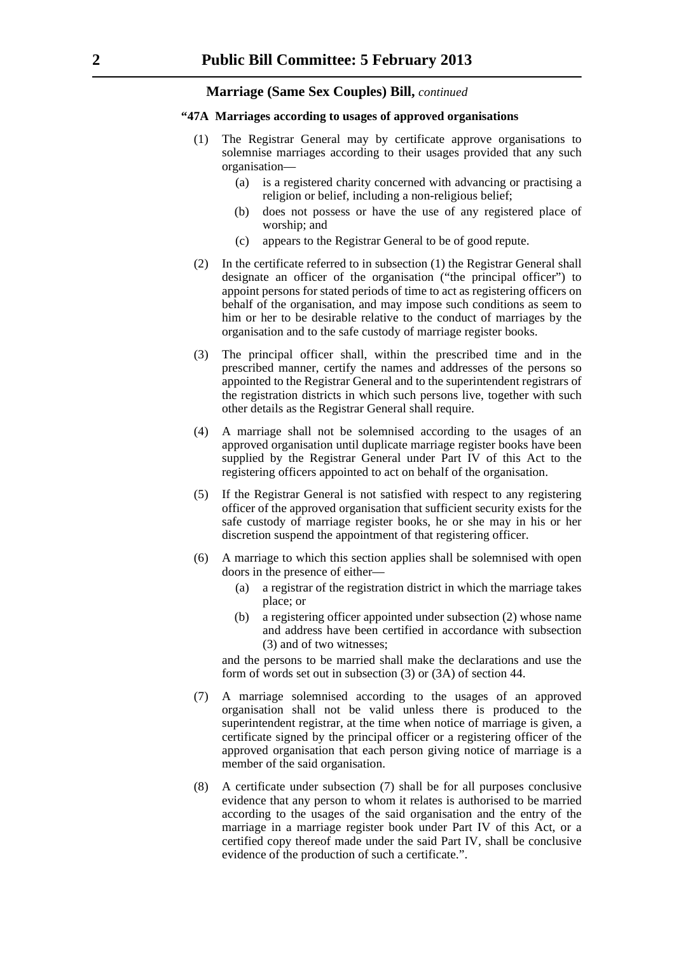#### **Marriage (Same Sex Couples) Bill,** *continued*

#### **"47A Marriages according to usages of approved organisations**

- (1) The Registrar General may by certificate approve organisations to solemnise marriages according to their usages provided that any such organisation—
	- (a) is a registered charity concerned with advancing or practising a religion or belief, including a non-religious belief;
	- (b) does not possess or have the use of any registered place of worship; and
	- (c) appears to the Registrar General to be of good repute.
- (2) In the certificate referred to in subsection (1) the Registrar General shall designate an officer of the organisation ("the principal officer") to appoint persons for stated periods of time to act as registering officers on behalf of the organisation, and may impose such conditions as seem to him or her to be desirable relative to the conduct of marriages by the organisation and to the safe custody of marriage register books.
- (3) The principal officer shall, within the prescribed time and in the prescribed manner, certify the names and addresses of the persons so appointed to the Registrar General and to the superintendent registrars of the registration districts in which such persons live, together with such other details as the Registrar General shall require.
- (4) A marriage shall not be solemnised according to the usages of an approved organisation until duplicate marriage register books have been supplied by the Registrar General under Part IV of this Act to the registering officers appointed to act on behalf of the organisation.
- (5) If the Registrar General is not satisfied with respect to any registering officer of the approved organisation that sufficient security exists for the safe custody of marriage register books, he or she may in his or her discretion suspend the appointment of that registering officer.
- (6) A marriage to which this section applies shall be solemnised with open doors in the presence of either—
	- (a) a registrar of the registration district in which the marriage takes place; or
	- (b) a registering officer appointed under subsection (2) whose name and address have been certified in accordance with subsection (3) and of two witnesses;

and the persons to be married shall make the declarations and use the form of words set out in subsection (3) or (3A) of section 44.

- (7) A marriage solemnised according to the usages of an approved organisation shall not be valid unless there is produced to the superintendent registrar, at the time when notice of marriage is given, a certificate signed by the principal officer or a registering officer of the approved organisation that each person giving notice of marriage is a member of the said organisation.
- (8) A certificate under subsection (7) shall be for all purposes conclusive evidence that any person to whom it relates is authorised to be married according to the usages of the said organisation and the entry of the marriage in a marriage register book under Part IV of this Act, or a certified copy thereof made under the said Part IV, shall be conclusive evidence of the production of such a certificate.".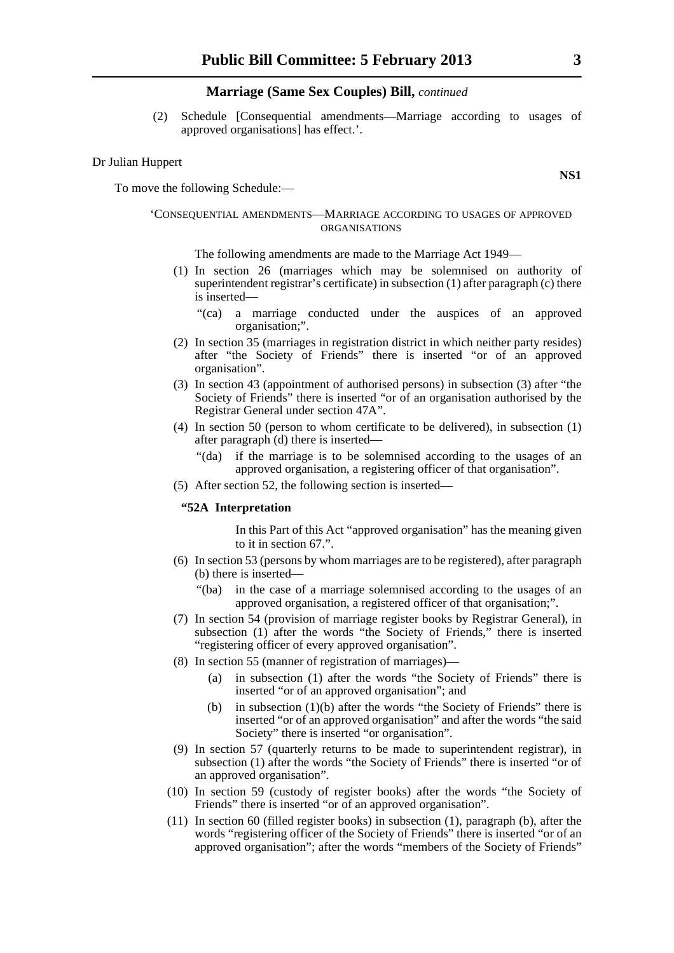#### **Marriage (Same Sex Couples) Bill,** *continued*

(2) Schedule [Consequential amendments—Marriage according to usages of approved organisations] has effect.'.

#### Dr Julian Huppert

To move the following Schedule:—

#### 'CONSEQUENTIAL AMENDMENTS—MARRIAGE ACCORDING TO USAGES OF APPROVED ORGANISATIONS

The following amendments are made to the Marriage Act 1949—

- (1) In section 26 (marriages which may be solemnised on authority of superintendent registrar's certificate) in subsection (1) after paragraph (c) there is inserted—
	- "(ca) a marriage conducted under the auspices of an approved organisation;".
- (2) In section 35 (marriages in registration district in which neither party resides) after "the Society of Friends" there is inserted "or of an approved organisation".
- (3) In section 43 (appointment of authorised persons) in subsection (3) after "the Society of Friends" there is inserted "or of an organisation authorised by the Registrar General under section 47A".
- (4) In section 50 (person to whom certificate to be delivered), in subsection (1) after paragraph (d) there is inserted—
	- "(da) if the marriage is to be solemnised according to the usages of an approved organisation, a registering officer of that organisation".
- (5) After section 52, the following section is inserted—

#### **"52A Interpretation**

In this Part of this Act "approved organisation" has the meaning given to it in section 67.".

- (6) In section 53 (persons by whom marriages are to be registered), after paragraph (b) there is inserted—
	- "(ba) in the case of a marriage solemnised according to the usages of an approved organisation, a registered officer of that organisation;".
- (7) In section 54 (provision of marriage register books by Registrar General), in subsection (1) after the words "the Society of Friends," there is inserted "registering officer of every approved organisation".
- (8) In section 55 (manner of registration of marriages)—
	- (a) in subsection (1) after the words "the Society of Friends" there is inserted "or of an approved organisation"; and
	- (b) in subsection  $(1)(b)$  after the words "the Society of Friends" there is inserted "or of an approved organisation" and after the words "the said Society" there is inserted "or organisation".
- (9) In section 57 (quarterly returns to be made to superintendent registrar), in subsection (1) after the words "the Society of Friends" there is inserted "or of an approved organisation".
- (10) In section 59 (custody of register books) after the words "the Society of Friends" there is inserted "or of an approved organisation".
- (11) In section 60 (filled register books) in subsection (1), paragraph (b), after the words "registering officer of the Society of Friends" there is inserted "or of an approved organisation"; after the words "members of the Society of Friends"

**NS1**